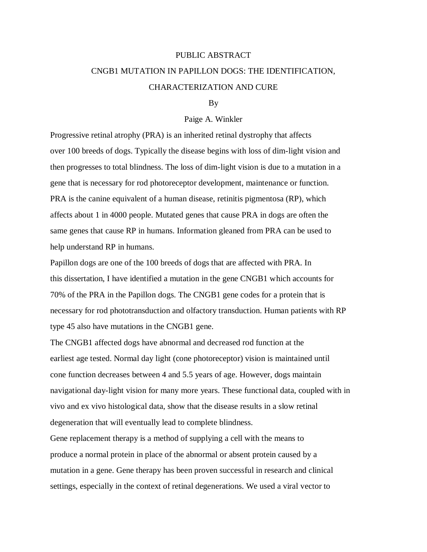# PUBLIC ABSTRACT CNGB1 MUTATION IN PAPILLON DOGS: THE IDENTIFICATION, CHARACTERIZATION AND CURE

## By

#### Paige A. Winkler

Progressive retinal atrophy (PRA) is an inherited retinal dystrophy that affects over 100 breeds of dogs. Typically the disease begins with loss of dim-light vision and then progresses to total blindness. The loss of dim-light vision is due to a mutation in a gene that is necessary for rod photoreceptor development, maintenance or function. PRA is the canine equivalent of a human disease, retinitis pigmentosa (RP), which affects about 1 in 4000 people. Mutated genes that cause PRA in dogs are often the same genes that cause RP in humans. Information gleaned from PRA can be used to help understand RP in humans.

Papillon dogs are one of the 100 breeds of dogs that are affected with PRA. In this dissertation, I have identified a mutation in the gene CNGB1 which accounts for 70% of the PRA in the Papillon dogs. The CNGB1 gene codes for a protein that is necessary for rod phototransduction and olfactory transduction. Human patients with RP type 45 also have mutations in the CNGB1 gene.

The CNGB1 affected dogs have abnormal and decreased rod function at the earliest age tested. Normal day light (cone photoreceptor) vision is maintained until cone function decreases between 4 and 5.5 years of age. However, dogs maintain navigational day-light vision for many more years. These functional data, coupled with in vivo and ex vivo histological data, show that the disease results in a slow retinal degeneration that will eventually lead to complete blindness.

Gene replacement therapy is a method of supplying a cell with the means to produce a normal protein in place of the abnormal or absent protein caused by a mutation in a gene. Gene therapy has been proven successful in research and clinical settings, especially in the context of retinal degenerations. We used a viral vector to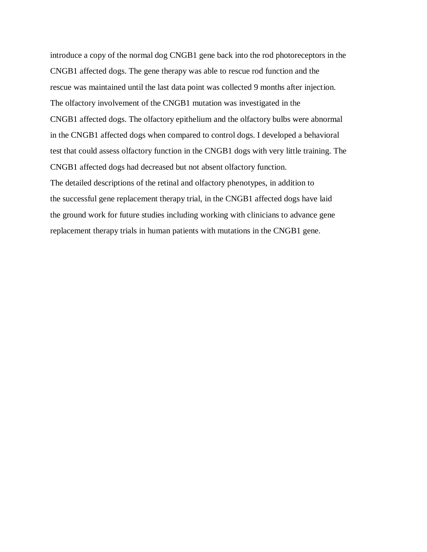introduce a copy of the normal dog CNGB1 gene back into the rod photoreceptors in the CNGB1 affected dogs. The gene therapy was able to rescue rod function and the rescue was maintained until the last data point was collected 9 months after injection. The olfactory involvement of the CNGB1 mutation was investigated in the CNGB1 affected dogs. The olfactory epithelium and the olfactory bulbs were abnormal in the CNGB1 affected dogs when compared to control dogs. I developed a behavioral test that could assess olfactory function in the CNGB1 dogs with very little training. The CNGB1 affected dogs had decreased but not absent olfactory function. The detailed descriptions of the retinal and olfactory phenotypes, in addition to the successful gene replacement therapy trial, in the CNGB1 affected dogs have laid the ground work for future studies including working with clinicians to advance gene replacement therapy trials in human patients with mutations in the CNGB1 gene.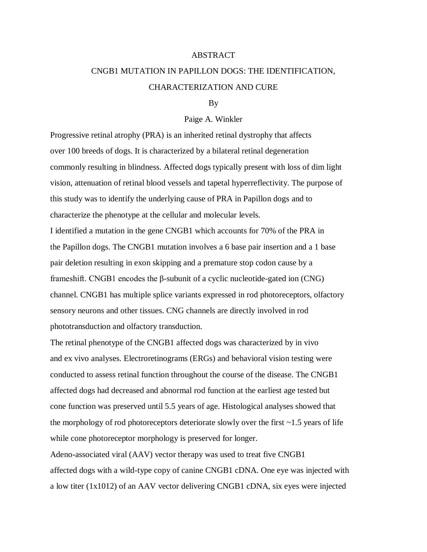#### ABSTRACT

# CNGB1 MUTATION IN PAPILLON DOGS: THE IDENTIFICATION, CHARACTERIZATION AND CURE

### By

#### Paige A. Winkler

Progressive retinal atrophy (PRA) is an inherited retinal dystrophy that affects over 100 breeds of dogs. It is characterized by a bilateral retinal degeneration commonly resulting in blindness. Affected dogs typically present with loss of dim light vision, attenuation of retinal blood vessels and tapetal hyperreflectivity. The purpose of this study was to identify the underlying cause of PRA in Papillon dogs and to characterize the phenotype at the cellular and molecular levels.

I identified a mutation in the gene CNGB1 which accounts for 70% of the PRA in the Papillon dogs. The CNGB1 mutation involves a 6 base pair insertion and a 1 base pair deletion resulting in exon skipping and a premature stop codon cause by a frameshift. CNGB1 encodes the β-subunit of a cyclic nucleotide-gated ion (CNG) channel. CNGB1 has multiple splice variants expressed in rod photoreceptors, olfactory sensory neurons and other tissues. CNG channels are directly involved in rod phototransduction and olfactory transduction.

The retinal phenotype of the CNGB1 affected dogs was characterized by in vivo and ex vivo analyses. Electroretinograms (ERGs) and behavioral vision testing were conducted to assess retinal function throughout the course of the disease. The CNGB1 affected dogs had decreased and abnormal rod function at the earliest age tested but cone function was preserved until 5.5 years of age. Histological analyses showed that the morphology of rod photoreceptors deteriorate slowly over the first  $\sim$ 1.5 years of life while cone photoreceptor morphology is preserved for longer.

Adeno-associated viral (AAV) vector therapy was used to treat five CNGB1 affected dogs with a wild-type copy of canine CNGB1 cDNA. One eye was injected with a low titer (1x1012) of an AAV vector delivering CNGB1 cDNA, six eyes were injected